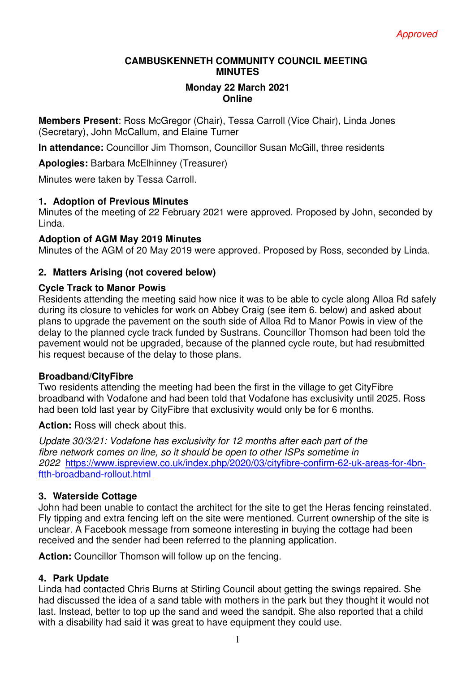#### **CAMBUSKENNETH COMMUNITY COUNCIL MEETING MINUTES**

#### **Monday 22 March 2021 Online**

**Members Present**: Ross McGregor (Chair), Tessa Carroll (Vice Chair), Linda Jones (Secretary), John McCallum, and Elaine Turner

**In attendance:** Councillor Jim Thomson, Councillor Susan McGill, three residents

**Apologies:** Barbara McElhinney (Treasurer)

Minutes were taken by Tessa Carroll.

#### **1. Adoption of Previous Minutes**

Minutes of the meeting of 22 February 2021 were approved. Proposed by John, seconded by Linda.

#### **Adoption of AGM May 2019 Minutes**

Minutes of the AGM of 20 May 2019 were approved. Proposed by Ross, seconded by Linda.

## **2. Matters Arising (not covered below)**

#### **Cycle Track to Manor Powis**

Residents attending the meeting said how nice it was to be able to cycle along Alloa Rd safely during its closure to vehicles for work on Abbey Craig (see item 6. below) and asked about plans to upgrade the pavement on the south side of Alloa Rd to Manor Powis in view of the delay to the planned cycle track funded by Sustrans. Councillor Thomson had been told the pavement would not be upgraded, because of the planned cycle route, but had resubmitted his request because of the delay to those plans.

#### **Broadband/CityFibre**

Two residents attending the meeting had been the first in the village to get CityFibre broadband with Vodafone and had been told that Vodafone has exclusivity until 2025. Ross had been told last year by CityFibre that exclusivity would only be for 6 months.

**Action:** Ross will check about this.

*Update 30/3/21: Vodafone has exclusivity for 12 months after each part of the fibre network comes on line, so it should be open to other ISPs sometime in 2022* https://www.ispreview.co.uk/index.php/2020/03/cityfibre-confirm-62-uk-areas-for-4bnftth-broadband-rollout.html

#### **3. Waterside Cottage**

John had been unable to contact the architect for the site to get the Heras fencing reinstated. Fly tipping and extra fencing left on the site were mentioned. Current ownership of the site is unclear. A Facebook message from someone interesting in buying the cottage had been received and the sender had been referred to the planning application.

**Action:** Councillor Thomson will follow up on the fencing.

## **4. Park Update**

Linda had contacted Chris Burns at Stirling Council about getting the swings repaired. She had discussed the idea of a sand table with mothers in the park but they thought it would not last. Instead, better to top up the sand and weed the sandpit. She also reported that a child with a disability had said it was great to have equipment they could use.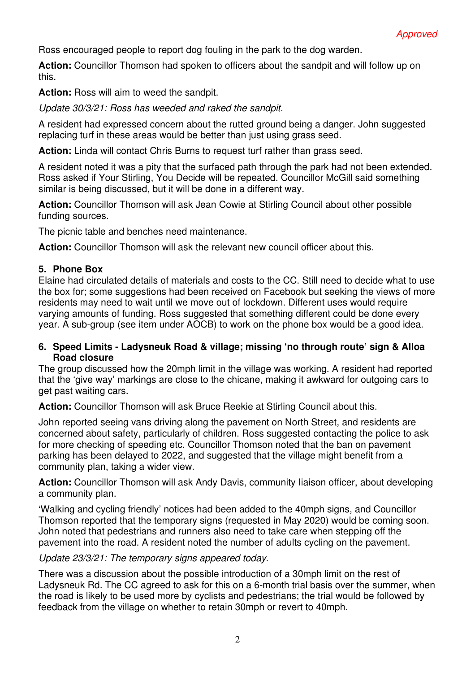Ross encouraged people to report dog fouling in the park to the dog warden.

**Action:** Councillor Thomson had spoken to officers about the sandpit and will follow up on this.

**Action:** Ross will aim to weed the sandpit.

*Update 30/3/21: Ross has weeded and raked the sandpit.* 

A resident had expressed concern about the rutted ground being a danger. John suggested replacing turf in these areas would be better than just using grass seed.

**Action:** Linda will contact Chris Burns to request turf rather than grass seed.

A resident noted it was a pity that the surfaced path through the park had not been extended. Ross asked if Your Stirling, You Decide will be repeated. Councillor McGill said something similar is being discussed, but it will be done in a different way.

**Action:** Councillor Thomson will ask Jean Cowie at Stirling Council about other possible funding sources.

The picnic table and benches need maintenance.

**Action:** Councillor Thomson will ask the relevant new council officer about this.

# **5. Phone Box**

Elaine had circulated details of materials and costs to the CC. Still need to decide what to use the box for; some suggestions had been received on Facebook but seeking the views of more residents may need to wait until we move out of lockdown. Different uses would require varying amounts of funding. Ross suggested that something different could be done every year. A sub-group (see item under AOCB) to work on the phone box would be a good idea.

## **6. Speed Limits - Ladysneuk Road & village; missing 'no through route' sign & Alloa Road closure**

The group discussed how the 20mph limit in the village was working. A resident had reported that the 'give way' markings are close to the chicane, making it awkward for outgoing cars to get past waiting cars.

**Action:** Councillor Thomson will ask Bruce Reekie at Stirling Council about this.

John reported seeing vans driving along the pavement on North Street, and residents are concerned about safety, particularly of children. Ross suggested contacting the police to ask for more checking of speeding etc. Councillor Thomson noted that the ban on pavement parking has been delayed to 2022, and suggested that the village might benefit from a community plan, taking a wider view.

**Action:** Councillor Thomson will ask Andy Davis, community Iiaison officer, about developing a community plan.

'Walking and cycling friendly' notices had been added to the 40mph signs, and Councillor Thomson reported that the temporary signs (requested in May 2020) would be coming soon. John noted that pedestrians and runners also need to take care when stepping off the pavement into the road. A resident noted the number of adults cycling on the pavement.

## *Update 23/3/21: The temporary signs appeared today*.

There was a discussion about the possible introduction of a 30mph limit on the rest of Ladysneuk Rd. The CC agreed to ask for this on a 6-month trial basis over the summer, when the road is likely to be used more by cyclists and pedestrians; the trial would be followed by feedback from the village on whether to retain 30mph or revert to 40mph.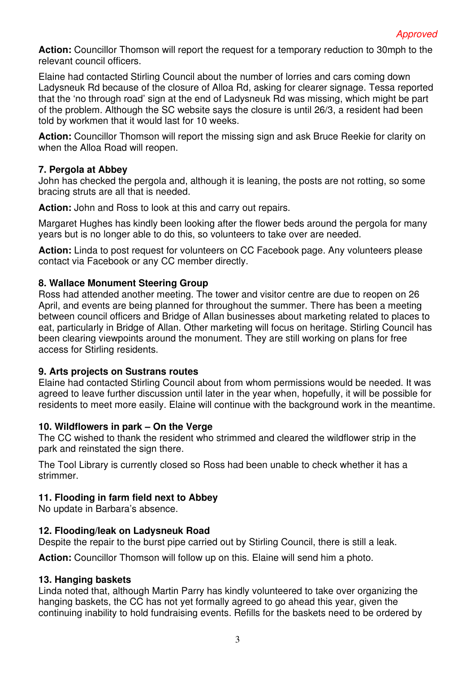**Action:** Councillor Thomson will report the request for a temporary reduction to 30mph to the relevant council officers.

Elaine had contacted Stirling Council about the number of lorries and cars coming down Ladysneuk Rd because of the closure of Alloa Rd, asking for clearer signage. Tessa reported that the 'no through road' sign at the end of Ladysneuk Rd was missing, which might be part of the problem. Although the SC website says the closure is until 26/3, a resident had been told by workmen that it would last for 10 weeks.

**Action:** Councillor Thomson will report the missing sign and ask Bruce Reekie for clarity on when the Alloa Road will reopen.

## **7. Pergola at Abbey**

John has checked the pergola and, although it is leaning, the posts are not rotting, so some bracing struts are all that is needed.

**Action:** John and Ross to look at this and carry out repairs.

Margaret Hughes has kindly been looking after the flower beds around the pergola for many years but is no longer able to do this, so volunteers to take over are needed.

**Action:** Linda to post request for volunteers on CC Facebook page. Any volunteers please contact via Facebook or any CC member directly.

## **8. Wallace Monument Steering Group**

Ross had attended another meeting. The tower and visitor centre are due to reopen on 26 April, and events are being planned for throughout the summer. There has been a meeting between council officers and Bridge of Allan businesses about marketing related to places to eat, particularly in Bridge of Allan. Other marketing will focus on heritage. Stirling Council has been clearing viewpoints around the monument. They are still working on plans for free access for Stirling residents.

## **9. Arts projects on Sustrans routes**

Elaine had contacted Stirling Council about from whom permissions would be needed. It was agreed to leave further discussion until later in the year when, hopefully, it will be possible for residents to meet more easily. Elaine will continue with the background work in the meantime.

## **10. Wildflowers in park – On the Verge**

The CC wished to thank the resident who strimmed and cleared the wildflower strip in the park and reinstated the sign there.

The Tool Library is currently closed so Ross had been unable to check whether it has a strimmer.

## **11. Flooding in farm field next to Abbey**

No update in Barbara's absence.

## **12. Flooding/leak on Ladysneuk Road**

Despite the repair to the burst pipe carried out by Stirling Council, there is still a leak.

**Action:** Councillor Thomson will follow up on this. Elaine will send him a photo.

## **13. Hanging baskets**

Linda noted that, although Martin Parry has kindly volunteered to take over organizing the hanging baskets, the CC has not yet formally agreed to go ahead this year, given the continuing inability to hold fundraising events. Refills for the baskets need to be ordered by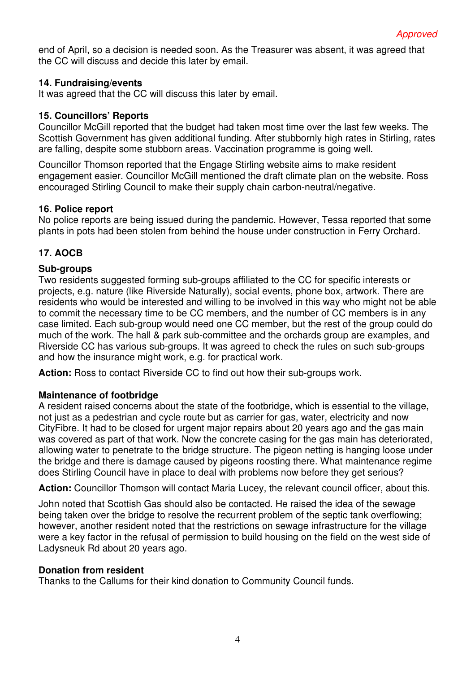end of April, so a decision is needed soon. As the Treasurer was absent, it was agreed that the CC will discuss and decide this later by email.

#### **14. Fundraising/events**

It was agreed that the CC will discuss this later by email.

#### **15. Councillors' Reports**

Councillor McGill reported that the budget had taken most time over the last few weeks. The Scottish Government has given additional funding. After stubbornly high rates in Stirling, rates are falling, despite some stubborn areas. Vaccination programme is going well.

Councillor Thomson reported that the Engage Stirling website aims to make resident engagement easier. Councillor McGill mentioned the draft climate plan on the website. Ross encouraged Stirling Council to make their supply chain carbon-neutral/negative.

#### **16. Police report**

No police reports are being issued during the pandemic. However, Tessa reported that some plants in pots had been stolen from behind the house under construction in Ferry Orchard.

## **17. AOCB**

## **Sub-groups**

Two residents suggested forming sub-groups affiliated to the CC for specific interests or projects, e.g. nature (like Riverside Naturally), social events, phone box, artwork. There are residents who would be interested and willing to be involved in this way who might not be able to commit the necessary time to be CC members, and the number of CC members is in any case limited. Each sub-group would need one CC member, but the rest of the group could do much of the work. The hall & park sub-committee and the orchards group are examples, and Riverside CC has various sub-groups. It was agreed to check the rules on such sub-groups and how the insurance might work, e.g. for practical work.

**Action:** Ross to contact Riverside CC to find out how their sub-groups work.

## **Maintenance of footbridge**

A resident raised concerns about the state of the footbridge, which is essential to the village, not just as a pedestrian and cycle route but as carrier for gas, water, electricity and now CityFibre. It had to be closed for urgent major repairs about 20 years ago and the gas main was covered as part of that work. Now the concrete casing for the gas main has deteriorated, allowing water to penetrate to the bridge structure. The pigeon netting is hanging loose under the bridge and there is damage caused by pigeons roosting there. What maintenance regime does Stirling Council have in place to deal with problems now before they get serious?

**Action:** Councillor Thomson will contact Maria Lucey, the relevant council officer, about this.

John noted that Scottish Gas should also be contacted. He raised the idea of the sewage being taken over the bridge to resolve the recurrent problem of the septic tank overflowing; however, another resident noted that the restrictions on sewage infrastructure for the village were a key factor in the refusal of permission to build housing on the field on the west side of Ladysneuk Rd about 20 years ago.

#### **Donation from resident**

Thanks to the Callums for their kind donation to Community Council funds.